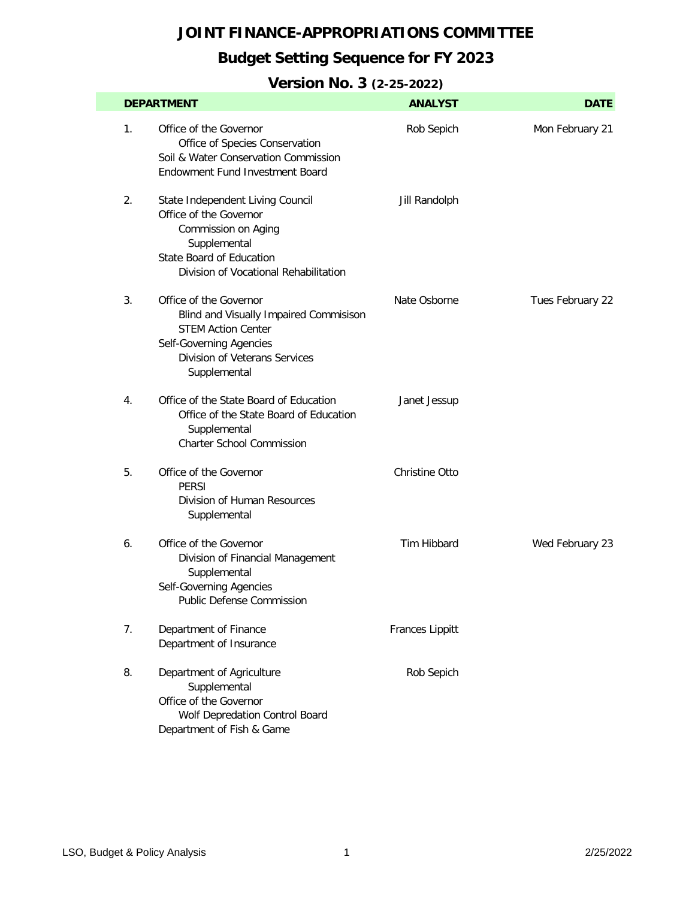## **Budget Setting Sequence for FY 2023**

|    | <b>DEPARTMENT</b>                                                                                                                                                             | <b>ANALYST</b>         | <b>DATE</b>      |
|----|-------------------------------------------------------------------------------------------------------------------------------------------------------------------------------|------------------------|------------------|
| 1. | Office of the Governor<br>Office of Species Conservation<br>Soil & Water Conservation Commission<br><b>Endowment Fund Investment Board</b>                                    | Rob Sepich             | Mon February 21  |
| 2. | State Independent Living Council<br>Office of the Governor<br>Commission on Aging<br>Supplemental<br><b>State Board of Education</b><br>Division of Vocational Rehabilitation | Jill Randolph          |                  |
| 3. | Office of the Governor<br>Blind and Visually Impaired Commisison<br><b>STEM Action Center</b><br>Self-Governing Agencies<br>Division of Veterans Services<br>Supplemental     | Nate Osborne           | Tues February 22 |
| 4. | Office of the State Board of Education<br>Office of the State Board of Education<br>Supplemental<br><b>Charter School Commission</b>                                          | Janet Jessup           |                  |
| 5. | Office of the Governor<br><b>PERSI</b><br>Division of Human Resources<br>Supplemental                                                                                         | Christine Otto         |                  |
| 6. | Office of the Governor<br>Division of Financial Management<br>Supplemental<br>Self-Governing Agencies<br>Public Defense Commission                                            | Tim Hibbard            | Wed February 23  |
| 7. | Department of Finance<br>Department of Insurance                                                                                                                              | <b>Frances Lippitt</b> |                  |
| 8. | Department of Agriculture<br>Supplemental<br>Office of the Governor<br>Wolf Depredation Control Board<br>Department of Fish & Game                                            | Rob Sepich             |                  |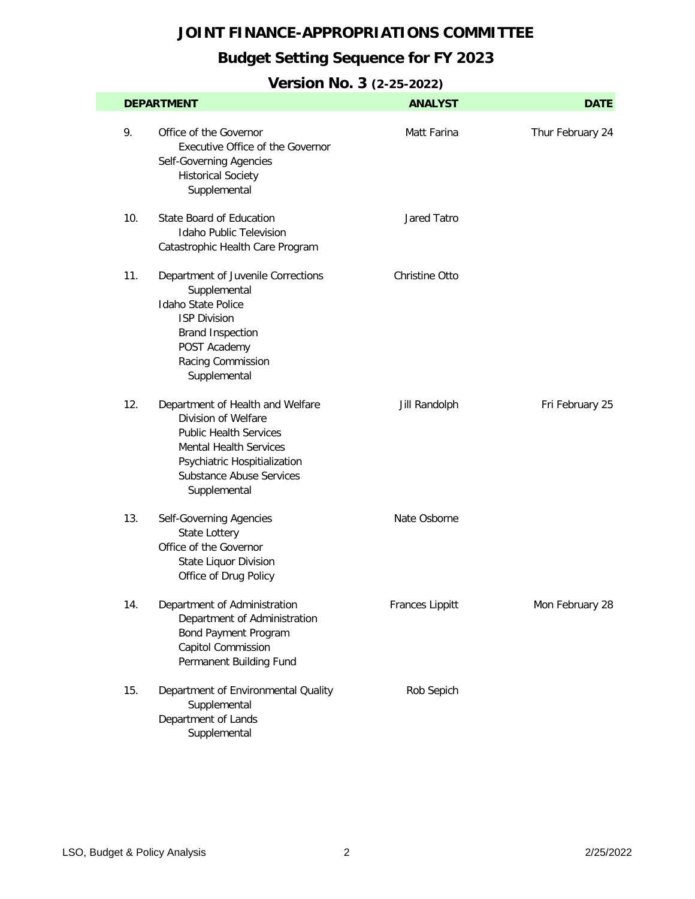## **Budget Setting Sequence for FY 2023**

|     | <b>DEPARTMENT</b>                                                                                                                                                                                            | <b>ANALYST</b>        | <b>DATE</b>      |
|-----|--------------------------------------------------------------------------------------------------------------------------------------------------------------------------------------------------------------|-----------------------|------------------|
| 9.  | Office of the Governor<br>Executive Office of the Governor<br>Self-Governing Agencies<br><b>Historical Society</b><br>Supplemental                                                                           | Matt Farina           | Thur February 24 |
| 10. | <b>State Board of Education</b><br><b>Idaho Public Television</b><br>Catastrophic Health Care Program                                                                                                        | Jared Tatro           |                  |
| 11. | Department of Juvenile Corrections<br>Supplemental<br><b>Idaho State Police</b><br><b>ISP Division</b><br><b>Brand Inspection</b><br>POST Academy<br>Racing Commission<br>Supplemental                       | <b>Christine Otto</b> |                  |
| 12. | Department of Health and Welfare<br>Division of Welfare<br><b>Public Health Services</b><br><b>Mental Health Services</b><br>Psychiatric Hospitialization<br><b>Substance Abuse Services</b><br>Supplemental | Jill Randolph         | Fri February 25  |
| 13. | Self-Governing Agencies<br>State Lottery<br>Office of the Governor<br><b>State Liquor Division</b><br>Office of Drug Policy                                                                                  | Nate Osborne          |                  |
| 14. | Department of Administration<br>Department of Administration<br>Bond Payment Program<br>Capitol Commission<br>Permanent Building Fund                                                                        | Frances Lippitt       | Mon February 28  |
| 15. | Department of Environmental Quality<br>Supplemental<br>Department of Lands<br>Supplemental                                                                                                                   | Rob Sepich            |                  |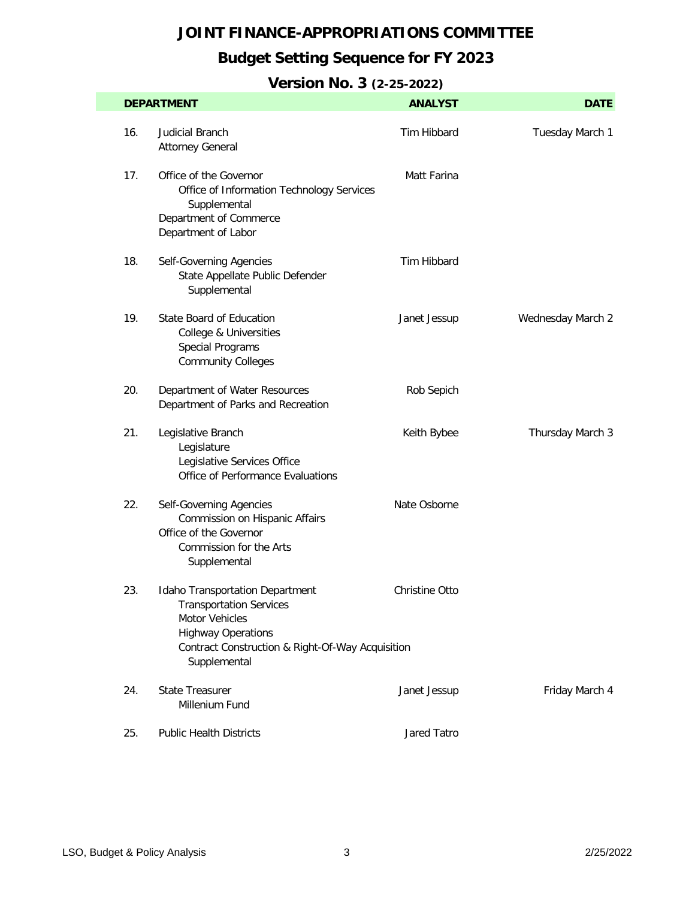## **Budget Setting Sequence for FY 2023**

|     | <b>DEPARTMENT</b>                                                                                                                                                                                  | <b>ANALYST</b> | <b>DATE</b>       |
|-----|----------------------------------------------------------------------------------------------------------------------------------------------------------------------------------------------------|----------------|-------------------|
| 16. | <b>Judicial Branch</b><br><b>Attorney General</b>                                                                                                                                                  | Tim Hibbard    | Tuesday March 1   |
| 17. | Office of the Governor<br>Office of Information Technology Services<br>Supplemental<br>Department of Commerce<br>Department of Labor                                                               | Matt Farina    |                   |
| 18. | Self-Governing Agencies<br>State Appellate Public Defender<br>Supplemental                                                                                                                         | Tim Hibbard    |                   |
| 19. | State Board of Education<br>College & Universities<br><b>Special Programs</b><br><b>Community Colleges</b>                                                                                         | Janet Jessup   | Wednesday March 2 |
| 20. | Department of Water Resources<br>Department of Parks and Recreation                                                                                                                                | Rob Sepich     |                   |
| 21. | Legislative Branch<br>Legislature<br>Legislative Services Office<br>Office of Performance Evaluations                                                                                              | Keith Bybee    | Thursday March 3  |
| 22. | Self-Governing Agencies<br>Commission on Hispanic Affairs<br>Office of the Governor<br>Commission for the Arts<br>Supplemental                                                                     | Nate Osborne   |                   |
| 23. | <b>Idaho Transportation Department</b><br><b>Transportation Services</b><br><b>Motor Vehicles</b><br><b>Highway Operations</b><br>Contract Construction & Right-Of-Way Acquisition<br>Supplemental | Christine Otto |                   |
| 24. | <b>State Treasurer</b><br>Millenium Fund                                                                                                                                                           | Janet Jessup   | Friday March 4    |
| 25. | <b>Public Health Districts</b>                                                                                                                                                                     | Jared Tatro    |                   |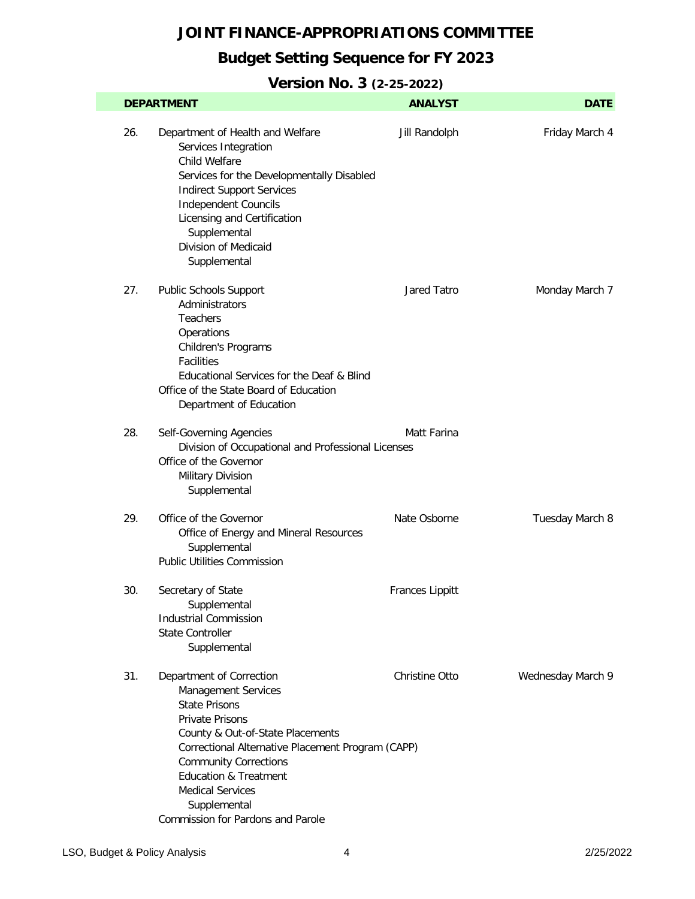## **Budget Setting Sequence for FY 2023**

|     | <b>DEPARTMENT</b>                                                                                                                                                                                                                                                                                                                                     | <b>ANALYST</b>         | <b>DATE</b>       |
|-----|-------------------------------------------------------------------------------------------------------------------------------------------------------------------------------------------------------------------------------------------------------------------------------------------------------------------------------------------------------|------------------------|-------------------|
| 26. | Department of Health and Welfare<br>Services Integration<br>Child Welfare<br>Services for the Developmentally Disabled<br><b>Indirect Support Services</b><br><b>Independent Councils</b><br>Licensing and Certification<br>Supplemental<br>Division of Medicaid<br>Supplemental                                                                      | Jill Randolph          | Friday March 4    |
| 27. | Public Schools Support<br>Administrators<br><b>Teachers</b><br>Operations<br>Children's Programs<br><b>Facilities</b><br>Educational Services for the Deaf & Blind<br>Office of the State Board of Education<br>Department of Education                                                                                                               | Jared Tatro            | Monday March 7    |
| 28. | Self-Governing Agencies<br>Division of Occupational and Professional Licenses<br>Office of the Governor<br>Military Division<br>Supplemental                                                                                                                                                                                                          | Matt Farina            |                   |
| 29. | Office of the Governor<br>Office of Energy and Mineral Resources<br>Supplemental<br><b>Public Utilities Commission</b>                                                                                                                                                                                                                                | Nate Osborne           | Tuesday March 8   |
| 30. | Secretary of State<br>Supplemental<br><b>Industrial Commission</b><br><b>State Controller</b><br>Supplemental                                                                                                                                                                                                                                         | <b>Frances Lippitt</b> |                   |
| 31. | Department of Correction<br><b>Management Services</b><br><b>State Prisons</b><br><b>Private Prisons</b><br>County & Out-of-State Placements<br>Correctional Alternative Placement Program (CAPP)<br><b>Community Corrections</b><br><b>Education &amp; Treatment</b><br><b>Medical Services</b><br>Supplemental<br>Commission for Pardons and Parole | Christine Otto         | Wednesday March 9 |